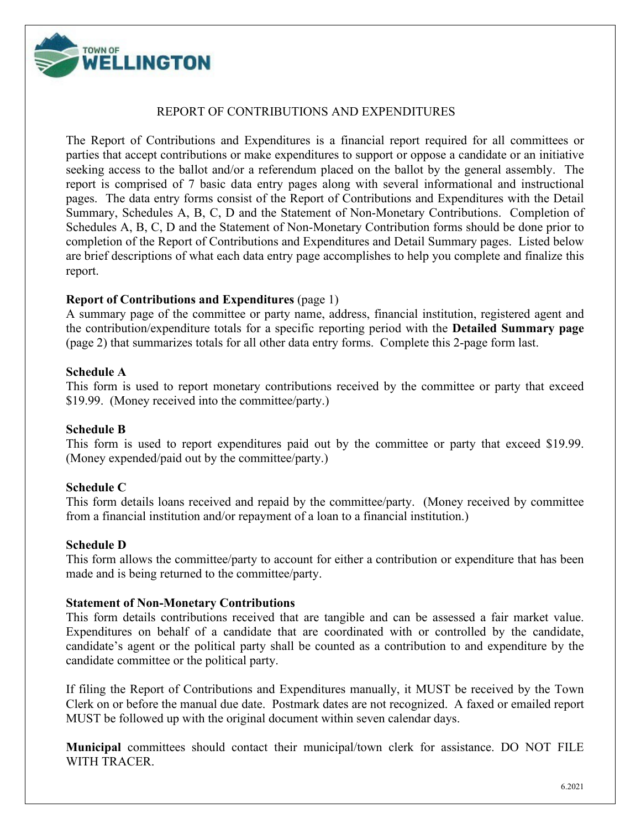

#### REPORT OF CONTRIBUTIONS AND EXPENDITURES

The Report of Contributions and Expenditures is a financial report required for all committees or parties that accept contributions or make expenditures to support or oppose a candidate or an initiative seeking access to the ballot and/or a referendum placed on the ballot by the general assembly. The report is comprised of 7 basic data entry pages along with several informational and instructional pages. The data entry forms consist of the Report of Contributions and Expenditures with the Detail Summary, Schedules A, B, C, D and the Statement of Non-Monetary Contributions. Completion of Schedules A, B, C, D and the Statement of Non-Monetary Contribution forms should be done prior to completion of the Report of Contributions and Expenditures and Detail Summary pages. Listed below are brief descriptions of what each data entry page accomplishes to help you complete and finalize this report.

#### **Report of Contributions and Expenditures** (page 1)

A summary page of the committee or party name, address, financial institution, registered agent and the contribution/expenditure totals for a specific reporting period with the **Detailed Summary page** (page 2) that summarizes totals for all other data entry forms. Complete this 2-page form last.

#### **Schedule A**

This form is used to report monetary contributions received by the committee or party that exceed \$19.99. (Money received into the committee/party.)

#### **Schedule B**

This form is used to report expenditures paid out by the committee or party that exceed \$19.99. (Money expended/paid out by the committee/party.)

#### **Schedule C**

This form details loans received and repaid by the committee/party. (Money received by committee from a financial institution and/or repayment of a loan to a financial institution.)

#### **Schedule D**

This form allows the committee/party to account for either a contribution or expenditure that has been made and is being returned to the committee/party.

#### **Statement of Non-Monetary Contributions**

This form details contributions received that are tangible and can be assessed a fair market value. Expenditures on behalf of a candidate that are coordinated with or controlled by the candidate, candidate's agent or the political party shall be counted as a contribution to and expenditure by the candidate committee or the political party.

If filing the Report of Contributions and Expenditures manually, it MUST be received by the Town Clerk on or before the manual due date. Postmark dates are not recognized. A faxed or emailed report MUST be followed up with the original document within seven calendar days.

**Municipal** committees should contact their municipal/town clerk for assistance. DO NOT FILE WITH TRACER.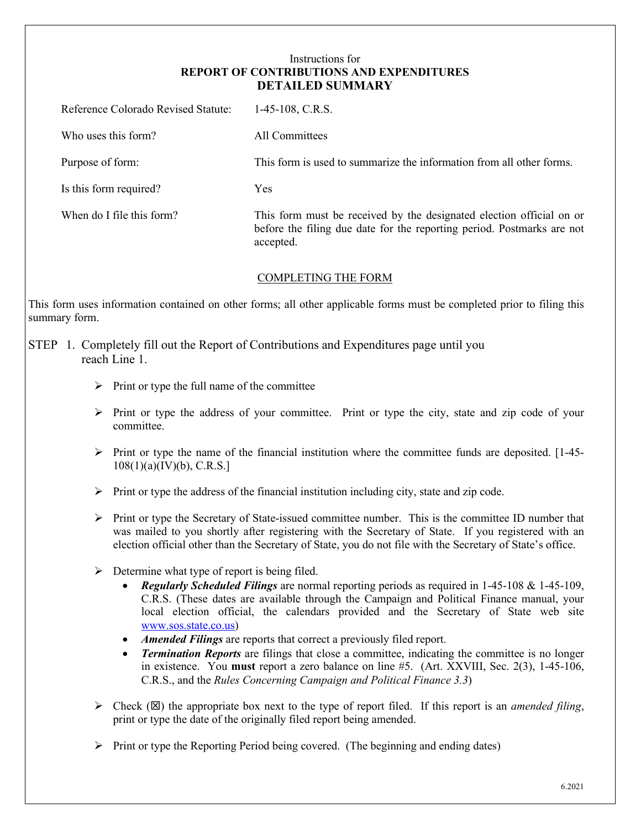#### Instructions for **REPORT OF CONTRIBUTIONS AND EXPENDITURES DETAILED SUMMARY**

| Reference Colorado Revised Statute: | $1-45-108$ , C.R.S.                                                                                                                                         |
|-------------------------------------|-------------------------------------------------------------------------------------------------------------------------------------------------------------|
| Who uses this form?                 | All Committees                                                                                                                                              |
| Purpose of form:                    | This form is used to summarize the information from all other forms.                                                                                        |
| Is this form required?              | Yes                                                                                                                                                         |
| When do I file this form?           | This form must be received by the designated election official on or<br>before the filing due date for the reporting period. Postmarks are not<br>accepted. |

#### COMPLETING THE FORM

This form uses information contained on other forms; all other applicable forms must be completed prior to filing this summary form.

#### STEP 1. Completely fill out the Report of Contributions and Expenditures page until you reach Line 1.

- $\triangleright$  Print or type the full name of the committee
- $\triangleright$  Print or type the address of your committee. Print or type the city, state and zip code of your committee.
- $\triangleright$  Print or type the name of the financial institution where the committee funds are deposited. [1-45-108(1)(a)(IV)(b), C.R.S.]
- $\triangleright$  Print or type the address of the financial institution including city, state and zip code.
- $\triangleright$  Print or type the Secretary of State-issued committee number. This is the committee ID number that was mailed to you shortly after registering with the Secretary of State. If you registered with an election official other than the Secretary of State, you do not file with the Secretary of State's office.
- $\triangleright$  Determine what type of report is being filed.
	- *Regularly Scheduled Filings* are normal reporting periods as required in 1-45-108 & 1-45-109, C.R.S. (These dates are available through the Campaign and Political Finance manual, your local election official, the calendars provided and the Secretary of State web site [www.sos.state.co.us\)](http://www.sos.state.co.us/)
	- *Amended Filings* are reports that correct a previously filed report.
	- *Termination Reports* are filings that close a committee, indicating the committee is no longer in existence. You **must** report a zero balance on line #5. (Art. XXVIII, Sec. 2(3), 1-45-106, C.R.S., and the *Rules Concerning Campaign and Political Finance 3.3*)
- $\triangleright$  Check ( $\boxtimes$ ) the appropriate box next to the type of report filed. If this report is an *amended filing*, print or type the date of the originally filed report being amended.
- $\triangleright$  Print or type the Reporting Period being covered. (The beginning and ending dates)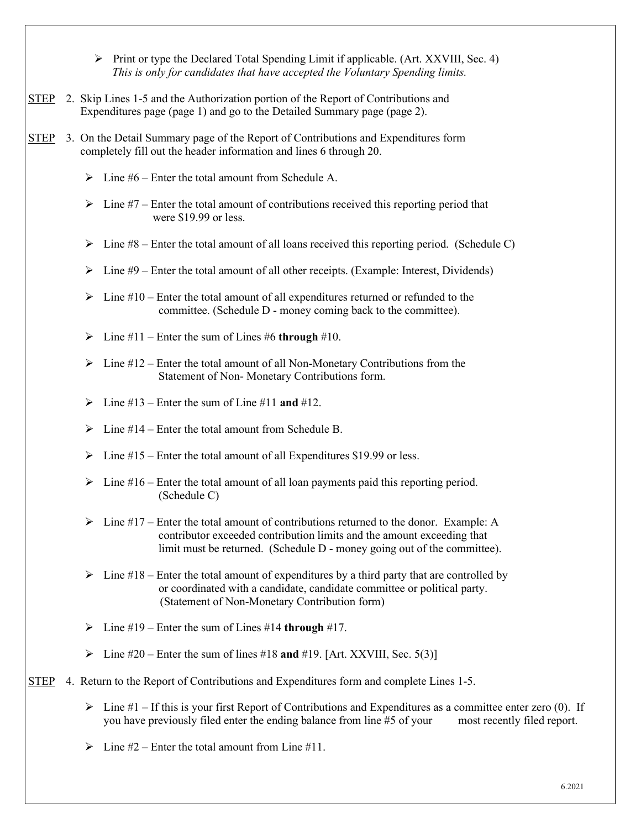$\triangleright$  Print or type the Declared Total Spending Limit if applicable. (Art. XXVIII, Sec. 4)  *This is only for candidates that have accepted the Voluntary Spending limits.*

- STEP 2. Skip Lines 1-5 and the Authorization portion of the Report of Contributions and Expenditures page (page 1) and go to the Detailed Summary page (page 2).
- STEP 3. On the Detail Summary page of the Report of Contributions and Expenditures form completely fill out the header information and lines 6 through 20.
	- $\triangleright$  Line #6 Enter the total amount from Schedule A.
	- $\triangleright$  Line #7 Enter the total amount of contributions received this reporting period that were \$19.99 or less.
	- $\triangleright$  Line #8 Enter the total amount of all loans received this reporting period. (Schedule C)
	- $\triangleright$  Line #9 Enter the total amount of all other receipts. (Example: Interest, Dividends)
	- $\triangleright$  Line #10 Enter the total amount of all expenditures returned or refunded to the committee. (Schedule D - money coming back to the committee).
	- $\triangleright$  Line #11 Enter the sum of Lines #6 **through** #10.
	- $\triangleright$  Line #12 Enter the total amount of all Non-Monetary Contributions from the Statement of Non- Monetary Contributions form.
	- $\triangleright$  Line #13 Enter the sum of Line #11 **and** #12.
	- $\triangleright$  Line #14 Enter the total amount from Schedule B.
	- $\triangleright$  Line #15 Enter the total amount of all Expenditures \$19.99 or less.
	- $\triangleright$  Line #16 Enter the total amount of all loan payments paid this reporting period. (Schedule C)
	- $\triangleright$  Line #17 Enter the total amount of contributions returned to the donor. Example: A contributor exceeded contribution limits and the amount exceeding that limit must be returned. (Schedule D - money going out of the committee).
	- $\triangleright$  Line #18 Enter the total amount of expenditures by a third party that are controlled by or coordinated with a candidate, candidate committee or political party. (Statement of Non-Monetary Contribution form)
	- $\triangleright$  Line #19 Enter the sum of Lines #14 **through** #17.
	- $\triangleright$  Line #20 Enter the sum of lines #18 **and** #19. [Art. XXVIII, Sec. 5(3)]

#### STEP 4. Return to the Report of Contributions and Expenditures form and complete Lines 1-5.

- $\triangleright$  Line #1 If this is your first Report of Contributions and Expenditures as a committee enter zero (0). If you have previously filed enter the ending balance from line #5 of your most recently filed report.
- $\triangleright$  Line #2 Enter the total amount from Line #11.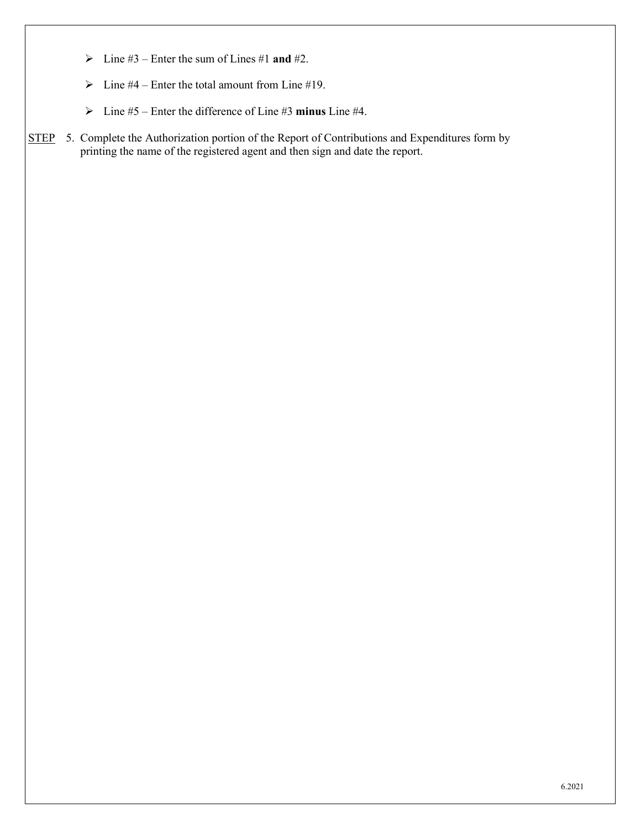- $\triangleright$  Line #3 Enter the sum of Lines #1 **and** #2.
- $\triangleright$  Line #4 Enter the total amount from Line #19.
- Line #5 Enter the difference of Line #3 **minus** Line #4.
- STEP 5. Complete the Authorization portion of the Report of Contributions and Expenditures form by printing the name of the registered agent and then sign and date the report.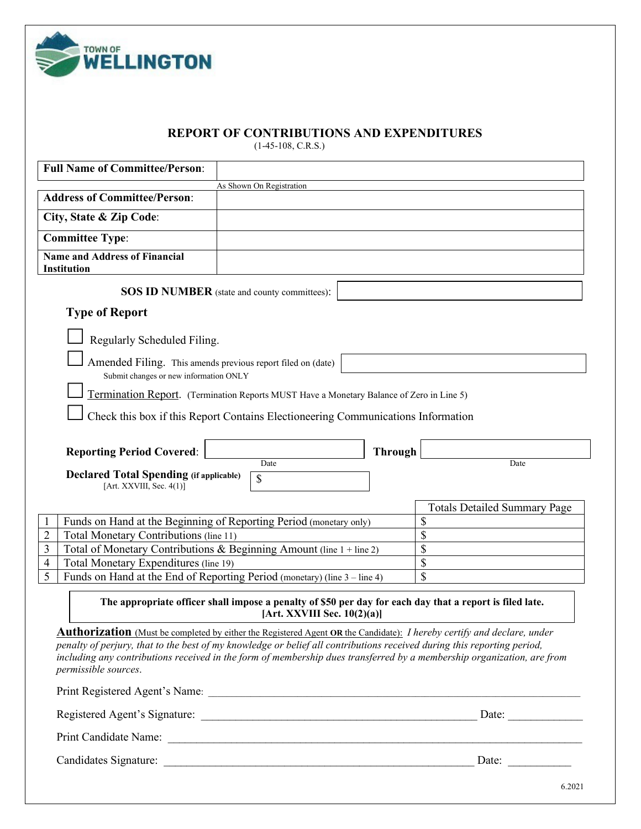

#### **REPORT OF CONTRIBUTIONS AND EXPENDITURES**

(1-45-108, C.R.S.)

| <b>Full Name of Committee/Person:</b>                                                                                                                                                                                                                                                                                                                                                                      |                                                                                                                                            |                |                                     |
|------------------------------------------------------------------------------------------------------------------------------------------------------------------------------------------------------------------------------------------------------------------------------------------------------------------------------------------------------------------------------------------------------------|--------------------------------------------------------------------------------------------------------------------------------------------|----------------|-------------------------------------|
|                                                                                                                                                                                                                                                                                                                                                                                                            | As Shown On Registration                                                                                                                   |                |                                     |
| <b>Address of Committee/Person:</b>                                                                                                                                                                                                                                                                                                                                                                        |                                                                                                                                            |                |                                     |
| City, State & Zip Code:                                                                                                                                                                                                                                                                                                                                                                                    |                                                                                                                                            |                |                                     |
| <b>Committee Type:</b>                                                                                                                                                                                                                                                                                                                                                                                     |                                                                                                                                            |                |                                     |
| <b>Name and Address of Financial</b><br><b>Institution</b>                                                                                                                                                                                                                                                                                                                                                 |                                                                                                                                            |                |                                     |
|                                                                                                                                                                                                                                                                                                                                                                                                            | <b>SOS ID NUMBER</b> (state and county committees):                                                                                        |                |                                     |
| <b>Type of Report</b>                                                                                                                                                                                                                                                                                                                                                                                      |                                                                                                                                            |                |                                     |
| Regularly Scheduled Filing.                                                                                                                                                                                                                                                                                                                                                                                |                                                                                                                                            |                |                                     |
|                                                                                                                                                                                                                                                                                                                                                                                                            |                                                                                                                                            |                |                                     |
| Amended Filing. This amends previous report filed on (date)<br>Submit changes or new information ONLY                                                                                                                                                                                                                                                                                                      |                                                                                                                                            |                |                                     |
|                                                                                                                                                                                                                                                                                                                                                                                                            | Termination Report. (Termination Reports MUST Have a Monetary Balance of Zero in Line 5)                                                   |                |                                     |
|                                                                                                                                                                                                                                                                                                                                                                                                            | Check this box if this Report Contains Electioneering Communications Information                                                           |                |                                     |
|                                                                                                                                                                                                                                                                                                                                                                                                            |                                                                                                                                            |                |                                     |
| <b>Reporting Period Covered:</b>                                                                                                                                                                                                                                                                                                                                                                           |                                                                                                                                            | <b>Through</b> |                                     |
| <b>Declared Total Spending (if applicable)</b>                                                                                                                                                                                                                                                                                                                                                             | Date                                                                                                                                       |                | Date                                |
| [Art. XXVIII, Sec. $4(1)$ ]                                                                                                                                                                                                                                                                                                                                                                                | \$                                                                                                                                         |                |                                     |
|                                                                                                                                                                                                                                                                                                                                                                                                            |                                                                                                                                            |                | <b>Totals Detailed Summary Page</b> |
| Funds on Hand at the Beginning of Reporting Period (monetary only)                                                                                                                                                                                                                                                                                                                                         |                                                                                                                                            |                | \$                                  |
| Total Monetary Contributions (line 11)<br>2                                                                                                                                                                                                                                                                                                                                                                |                                                                                                                                            |                | \$                                  |
| Total of Monetary Contributions & Beginning Amount (line 1 + line 2)<br>3                                                                                                                                                                                                                                                                                                                                  |                                                                                                                                            |                | \$                                  |
| Total Monetary Expenditures (line 19)<br>4                                                                                                                                                                                                                                                                                                                                                                 |                                                                                                                                            |                | \$                                  |
| 5<br>Funds on Hand at the End of Reporting Period (monetary) (line 3 – line 4)                                                                                                                                                                                                                                                                                                                             |                                                                                                                                            |                | \$                                  |
|                                                                                                                                                                                                                                                                                                                                                                                                            | The appropriate officer shall impose a penalty of \$50 per day for each day that a report is filed late.<br>[Art. XXVIII Sec. $10(2)(a)$ ] |                |                                     |
| <b>Authorization</b> (Must be completed by either the Registered Agent OR the Candidate): I hereby certify and declare, under<br>penalty of perjury, that to the best of my knowledge or belief all contributions received during this reporting period,<br>including any contributions received in the form of membership dues transferred by a membership organization, are from<br>permissible sources. |                                                                                                                                            |                |                                     |
|                                                                                                                                                                                                                                                                                                                                                                                                            |                                                                                                                                            |                |                                     |
|                                                                                                                                                                                                                                                                                                                                                                                                            |                                                                                                                                            |                |                                     |
|                                                                                                                                                                                                                                                                                                                                                                                                            |                                                                                                                                            |                |                                     |
|                                                                                                                                                                                                                                                                                                                                                                                                            |                                                                                                                                            |                |                                     |
|                                                                                                                                                                                                                                                                                                                                                                                                            |                                                                                                                                            |                | 6.2021                              |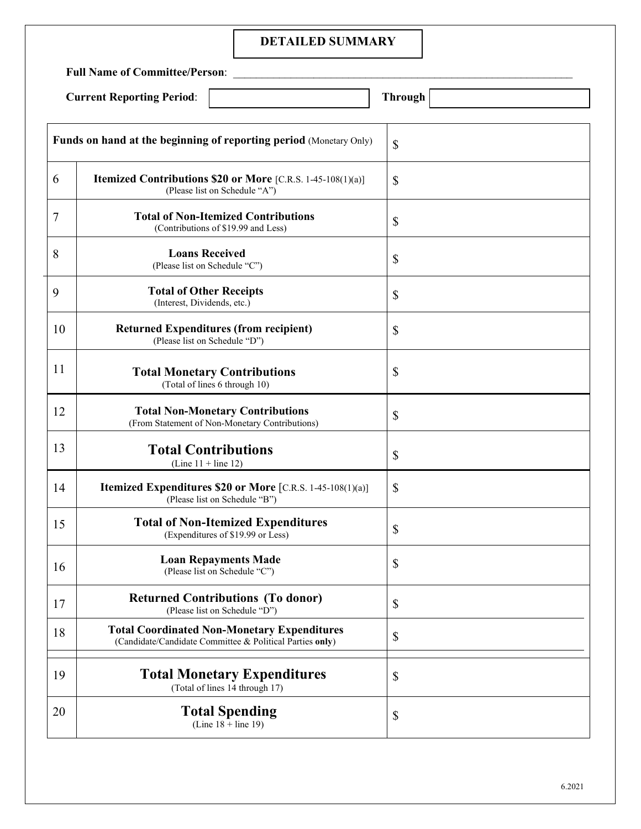## **DETAILED SUMMARY**

**Full Name of Committee/Person**: \_\_\_\_\_\_\_\_\_\_\_\_\_\_\_\_\_\_\_\_\_\_\_\_\_\_\_\_\_\_\_\_\_\_\_\_\_\_\_\_\_\_\_\_\_\_\_\_\_\_\_\_\_\_\_\_\_\_\_

| <b>Current Reporting Period:</b> |  |
|----------------------------------|--|
|----------------------------------|--|

| <b>Full Name of Committee/Person:</b> |                                                                                                                |                           |  |
|---------------------------------------|----------------------------------------------------------------------------------------------------------------|---------------------------|--|
|                                       | <b>Current Reporting Period:</b>                                                                               | <b>Through</b>            |  |
|                                       | Funds on hand at the beginning of reporting period (Monetary Only)                                             | \$                        |  |
| 6                                     | <b>Itemized Contributions \$20 or More</b> [C.R.S. 1-45-108(1)(a)]<br>(Please list on Schedule "A")            | \$                        |  |
| $\overline{7}$                        | <b>Total of Non-Itemized Contributions</b><br>(Contributions of \$19.99 and Less)                              | $\boldsymbol{\mathsf{S}}$ |  |
| 8                                     | <b>Loans Received</b><br>(Please list on Schedule "C")                                                         | $\boldsymbol{\mathsf{S}}$ |  |
| 9                                     | <b>Total of Other Receipts</b><br>(Interest, Dividends, etc.)                                                  | $\boldsymbol{\mathsf{S}}$ |  |
| 10                                    | <b>Returned Expenditures (from recipient)</b><br>(Please list on Schedule "D")                                 | $\boldsymbol{\mathsf{S}}$ |  |
| <sup>11</sup>                         | <b>Total Monetary Contributions</b><br>(Total of lines 6 through 10)                                           | \$                        |  |
| 12                                    | <b>Total Non-Monetary Contributions</b><br>(From Statement of Non-Monetary Contributions)                      | $\boldsymbol{\mathsf{S}}$ |  |
| 13                                    | <b>Total Contributions</b><br>(Line $11 +$ line 12)                                                            | \$                        |  |
| 14                                    | <b>Itemized Expenditures \$20 or More</b> [C.R.S. 1-45-108(1)(a)]<br>(Please list on Schedule "B")             | \$                        |  |
| 15                                    | <b>Total of Non-Itemized Expenditures</b><br>(Expenditures of \$19.99 or Less)                                 | \$                        |  |
| 16                                    | <b>Loan Repayments Made</b><br>(Please list on Schedule "C")                                                   | $\boldsymbol{\mathsf{S}}$ |  |
| 17                                    | <b>Returned Contributions (To donor)</b><br>(Please list on Schedule "D")                                      | $\boldsymbol{\mathsf{S}}$ |  |
| 18                                    | <b>Total Coordinated Non-Monetary Expenditures</b><br>(Candidate/Candidate Committee & Political Parties only) | $\mathbb{S}$              |  |
| 19                                    | <b>Total Monetary Expenditures</b><br>(Total of lines 14 through 17)                                           | \$                        |  |
| 20                                    | <b>Total Spending</b><br>(Line $18 + line 19$ )                                                                | \$                        |  |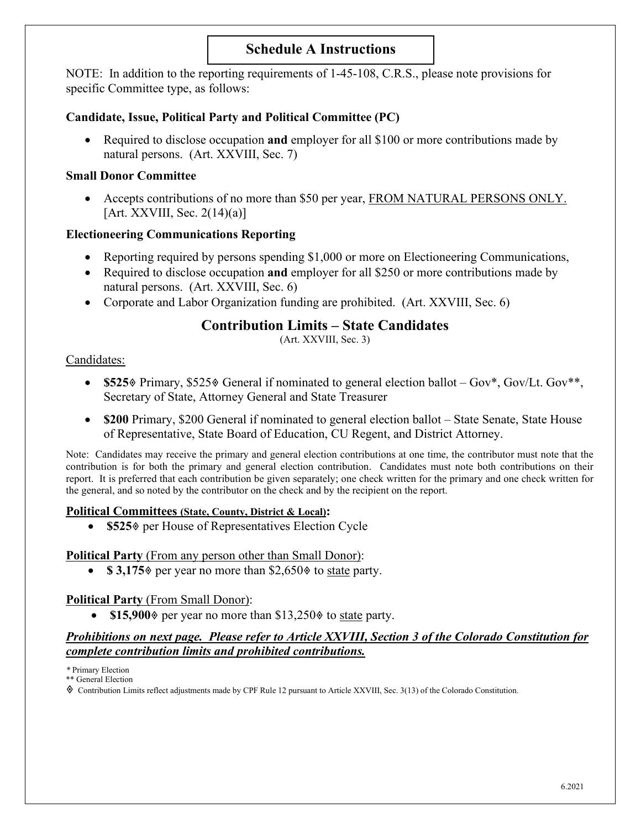## **Schedule A Instructions**

NOTE: In addition to the reporting requirements of 1-45-108, C.R.S., please note provisions for specific Committee type, as follows:

#### **Candidate, Issue, Political Party and Political Committee (PC)**

• Required to disclose occupation **and** employer for all \$100 or more contributions made by natural persons. (Art. XXVIII, Sec. 7)

#### **Small Donor Committee**

• Accepts contributions of no more than \$50 per year, FROM NATURAL PERSONS ONLY.  $[Art. XXVIII, Sec. 2(14)(a)]$ 

#### **Electioneering Communications Reporting**

- Reporting required by persons spending \$1,000 or more on Electioneering Communications,
- Required to disclose occupation **and** employer for all \$250 or more contributions made by natural persons. (Art. XXVIII, Sec. 6)
- Corporate and Labor Organization funding are prohibited. (Art. XXVIII, Sec. 6)

### **Contribution Limits – State Candidates**

(Art. XXVIII, Sec. 3)

#### Candidates:

- \$525% Primary, \$525% General if nominated to general election ballot Gov\*, Gov/Lt. Gov\*\*, Secretary of State, Attorney General and State Treasurer
- **\$200** Primary, \$200 General if nominated to general election ballot State Senate, State House of Representative, State Board of Education, CU Regent, and District Attorney.

Note: Candidates may receive the primary and general election contributions at one time, the contributor must note that the contribution is for both the primary and general election contribution. Candidates must note both contributions on their report. It is preferred that each contribution be given separately; one check written for the primary and one check written for the general, and so noted by the contributor on the check and by the recipient on the report.

#### **Political Committees (State, County, District & Local):**

• **\$525** per House of Representatives Election Cycle

#### **Political Party** (From any person other than Small Donor):

•  $\$3,175\$  per year no more than  $\$2,650\$  to state party.

#### **Political Party** (From Small Donor):

• \$15,900% per year no more than \$13,250% to state party.

#### *Prohibitions on next page. Please refer to Article XXVIII, Section 3 of the Colorado Constitution for complete contribution limits and prohibited contributions.*

*\** Primary Election

\*\* General Election

Contribution Limits reflect adjustments made by CPF Rule 12 pursuant to Article XXVIII, Sec. 3(13) of the Colorado Constitution.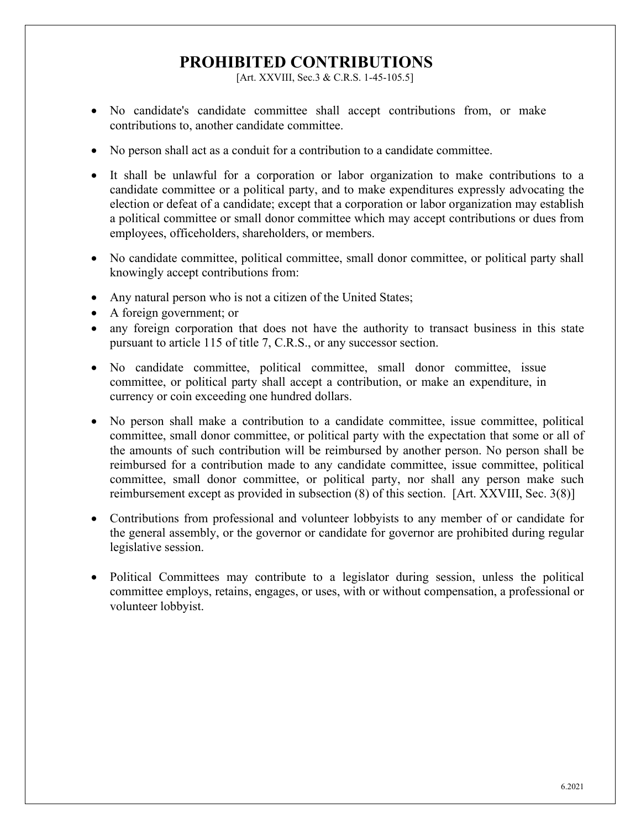# **PROHIBITED CONTRIBUTIONS**

[Art. XXVIII, Sec.3 & C.R.S. 1-45-105.5]

- No candidate's candidate committee shall accept contributions from, or make contributions to, another candidate committee.
- No person shall act as a conduit for a contribution to a candidate committee.
- It shall be unlawful for a corporation or labor organization to make contributions to a candidate committee or a political party, and to make expenditures expressly advocating the election or defeat of a candidate; except that a corporation or labor organization may establish a political committee or small donor committee which may accept contributions or dues from employees, officeholders, shareholders, or members.
- No candidate committee, political committee, small donor committee, or political party shall knowingly accept contributions from:
- Any natural person who is not a citizen of the United States;
- A foreign government; or
- any foreign corporation that does not have the authority to transact business in this state pursuant to article 115 of title 7, C.R.S., or any successor section.
- No candidate committee, political committee, small donor committee, issue committee, or political party shall accept a contribution, or make an expenditure, in currency or coin exceeding one hundred dollars.
- No person shall make a contribution to a candidate committee, issue committee, political committee, small donor committee, or political party with the expectation that some or all of the amounts of such contribution will be reimbursed by another person. No person shall be reimbursed for a contribution made to any candidate committee, issue committee, political committee, small donor committee, or political party, nor shall any person make such reimbursement except as provided in subsection (8) of this section. [Art. XXVIII, Sec. 3(8)]
- Contributions from professional and volunteer lobbyists to any member of or candidate for the general assembly, or the governor or candidate for governor are prohibited during regular legislative session.
- Political Committees may contribute to a legislator during session, unless the political committee employs, retains, engages, or uses, with or without compensation, a professional or volunteer lobbyist.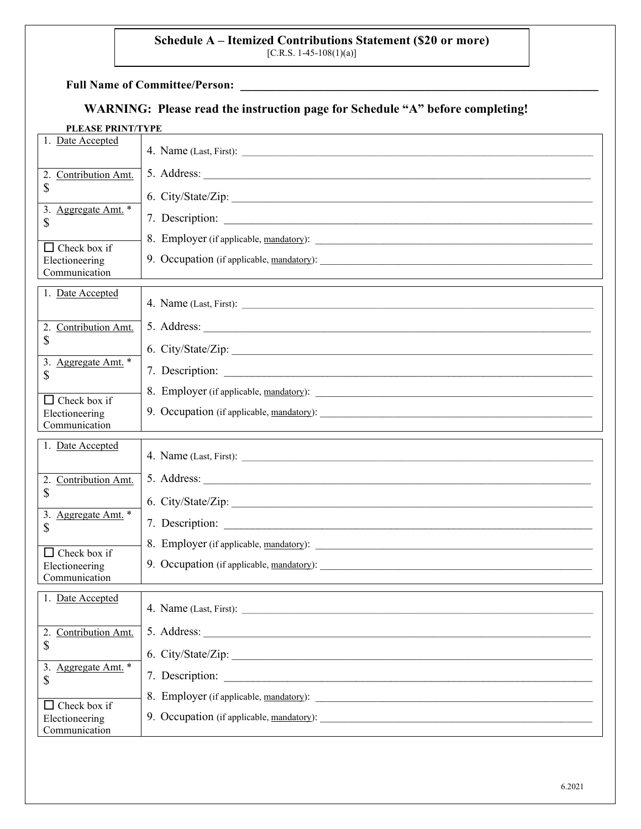# **Schedule A – Itemized Contributions Statement (\$20 or more)** [C.R.S. 1-45-108(1)(a)]

**Full Name of Committee/Person:** \_\_\_\_\_\_\_\_\_\_\_\_\_\_\_\_\_\_\_\_\_\_\_\_\_\_\_\_\_\_\_\_\_\_\_\_\_\_\_\_\_\_\_\_\_\_\_\_\_\_\_\_\_\_\_\_\_\_\_\_

# **WARNING: Please read the instruction page for Schedule "A" before completing!**

#### **PLEASE PRINT/TYPE**

| Date Accepted<br>1.                                             |                                                                                                                                                                                                                                 |
|-----------------------------------------------------------------|---------------------------------------------------------------------------------------------------------------------------------------------------------------------------------------------------------------------------------|
| 2.<br>Contribution Amt.                                         |                                                                                                                                                                                                                                 |
| \$                                                              | 6. City/State/Zip:                                                                                                                                                                                                              |
| 3.<br>Aggregate Amt. <sup>*</sup><br>\$                         |                                                                                                                                                                                                                                 |
| $\Box$ Check box if                                             |                                                                                                                                                                                                                                 |
| Electioneering<br>Communication                                 |                                                                                                                                                                                                                                 |
|                                                                 |                                                                                                                                                                                                                                 |
| 1. Date Accepted                                                |                                                                                                                                                                                                                                 |
| 2.<br>Contribution Amt.                                         |                                                                                                                                                                                                                                 |
| \$                                                              | 6. City/State/Zip:                                                                                                                                                                                                              |
| 3.<br>Aggregate Amt. *<br>\$                                    | 7. Description:                                                                                                                                                                                                                 |
| $\Box$ Check box if                                             |                                                                                                                                                                                                                                 |
| Electioneering<br>Communication                                 |                                                                                                                                                                                                                                 |
|                                                                 |                                                                                                                                                                                                                                 |
|                                                                 |                                                                                                                                                                                                                                 |
| 1. Date Accepted                                                |                                                                                                                                                                                                                                 |
| 2.<br>Contribution Amt.                                         |                                                                                                                                                                                                                                 |
| \$                                                              | 6. City/State/Zip:                                                                                                                                                                                                              |
| 3. Aggregate Amt. *<br>\$                                       |                                                                                                                                                                                                                                 |
|                                                                 |                                                                                                                                                                                                                                 |
| Check box if<br>$\mathsf{L}$<br>Electioneering<br>Communication |                                                                                                                                                                                                                                 |
|                                                                 |                                                                                                                                                                                                                                 |
| 1. Date Accepted                                                |                                                                                                                                                                                                                                 |
| 2. Contribution Amt.                                            |                                                                                                                                                                                                                                 |
| \$                                                              | 6. City/State/Zip:                                                                                                                                                                                                              |
| 3. Aggregate Amt. *<br>\$                                       |                                                                                                                                                                                                                                 |
|                                                                 |                                                                                                                                                                                                                                 |
| Check box if<br>ΙI<br>Electioneering<br>Communication           | 9. Occupation (if applicable, mandatory):<br>and the contract of the contract of the contract of the contract of the contract of the contract of the contract of the contract of the contract of the contract of the contract o |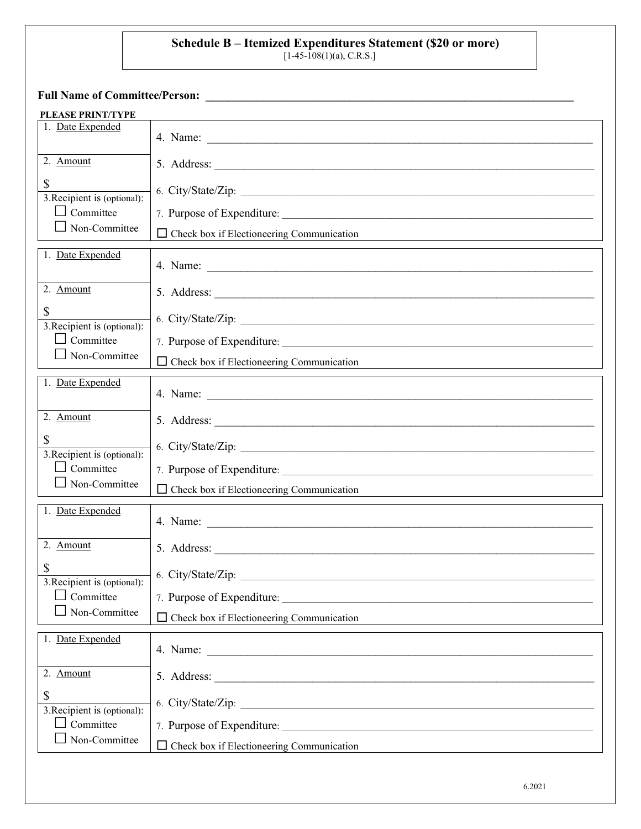# **Schedule B – Itemized Expenditures Statement (\$20 or more)**

 $[1-45-108(1)(a), C.R.S.]$ 

**Full Name of Committee/Person: \_\_\_\_\_\_\_\_\_\_\_\_\_\_\_\_\_\_\_\_\_\_\_\_\_\_\_\_\_\_\_\_\_\_\_\_\_\_\_\_\_\_\_\_\_\_\_\_\_\_\_\_\_\_\_\_\_\_\_\_\_\_\_\_**

| <b>PLEASE PRINT/TYPE</b>                                                      |                                                                                                          |
|-------------------------------------------------------------------------------|----------------------------------------------------------------------------------------------------------|
| 1. Date Expended                                                              |                                                                                                          |
| 2. Amount                                                                     |                                                                                                          |
| \$<br>3. Recipient is (optional):<br>$\Box$ Committee<br>$\Box$ Non-Committee | 6. City/State/Zip:<br>$\Box$ Check box if Electioneering Communication                                   |
| 1. Date Expended                                                              |                                                                                                          |
| 2. Amount                                                                     |                                                                                                          |
| \$<br>3. Recipient is (optional):                                             | 6. City/State/Zip:                                                                                       |
| $\Box$ Committee<br>$\Box$ Non-Committee                                      | $\Box$ Check box if Electioneering Communication                                                         |
|                                                                               |                                                                                                          |
| 1. Date Expended                                                              |                                                                                                          |
| 2. Amount                                                                     |                                                                                                          |
| \$<br>3. Recipient is (optional):                                             | 6. City/State/Zip:                                                                                       |
| $\Box$ Committee                                                              |                                                                                                          |
| $\Box$ Non-Committee                                                          | $\Box$ Check box if Electioneering Communication<br><u> 1989 - Johann Stein, Amerikaansk politiker (</u> |
| 1. Date Expended                                                              | 4. Name:                                                                                                 |
| 2. Amount                                                                     |                                                                                                          |
| \$<br>3. Recipient is (optional):                                             | 6. City/State/Zip:                                                                                       |
| $\perp$ Committee                                                             |                                                                                                          |
| Non-Committee                                                                 | Check box if Electioneering Communication<br>□                                                           |
| 1. Date Expended                                                              |                                                                                                          |
| 2. Amount                                                                     |                                                                                                          |
| $\mathbb{S}$<br>3. Recipient is (optional):                                   | 6. City/State/Zip:                                                                                       |
| $\Box$ Committee                                                              | 7. Purpose of Expenditure:                                                                               |
| Non-Committee                                                                 | Check box if Electioneering Communication                                                                |
|                                                                               |                                                                                                          |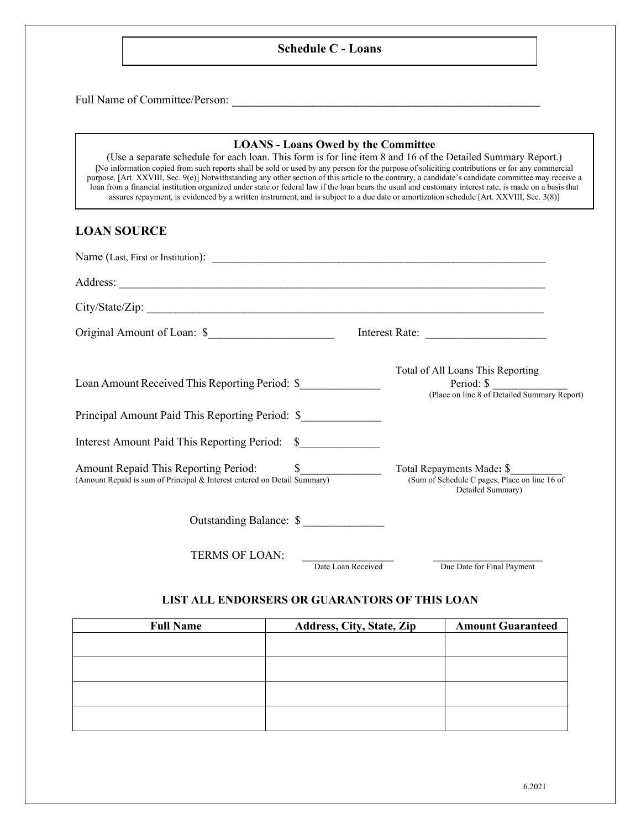#### **Schedule C - Loans**

Full Name of Committee/Person: \_\_\_\_\_\_\_\_\_\_\_\_\_\_\_\_\_\_\_\_\_\_\_\_\_\_\_\_\_\_\_\_\_\_\_\_\_\_\_\_\_\_

#### **LOANS - Loans Owed by the Committee**

(Use a separate schedule for each loan. This form is for line item 8 and 16 of the Detailed Summary Report.) [No information copied from such reports shall be sold or used by any person for the purpose of soliciting contributions or for any commercial purpose. [Art. XXVIII, Sec. 9(e)] Notwithstanding any other section of this article to the contrary, a candidate's candidate committee may receive a loan from a financial institution organized under state or federal law if the loan bears the usual and customary interest rate, is made on a basis that assures repayment, is evidenced by a written instrument, and is subject to a due date or amortization schedule [Art. XXVIII, Sec. 3(8)]

#### **LOAN SOURCE**

| City/State/Zip:                                                                                                     |                                                                                                 |
|---------------------------------------------------------------------------------------------------------------------|-------------------------------------------------------------------------------------------------|
| Original Amount of Loan: \$                                                                                         | Interest Rate:                                                                                  |
| Loan Amount Received This Reporting Period: \$                                                                      | Total of All Loans This Reporting<br>Period: \$<br>(Place on line 8 of Detailed Summary Report) |
| Principal Amount Paid This Reporting Period: \$                                                                     |                                                                                                 |
| Interest Amount Paid This Reporting Period: \$                                                                      |                                                                                                 |
| Amount Repaid This Reporting Period: \$<br>(Amount Repaid is sum of Principal & Interest entered on Detail Summary) | Total Repayments Made: \$<br>(Sum of Schedule C pages, Place on line 16 of<br>Detailed Summary) |
| Outstanding Balance: \$                                                                                             |                                                                                                 |
| <b>TERMS OF LOAN:</b>                                                                                               |                                                                                                 |

**THE TERMS OF THE LOAN Received** Due Date for Final Payment

#### **LIST ALL ENDORSERS OR GUARANTORS OF THIS LOAN**

| <b>Full Name</b> | Address, City, State, Zip | <b>Amount Guaranteed</b> |
|------------------|---------------------------|--------------------------|
|                  |                           |                          |
|                  |                           |                          |
|                  |                           |                          |
|                  |                           |                          |
|                  |                           |                          |
|                  |                           |                          |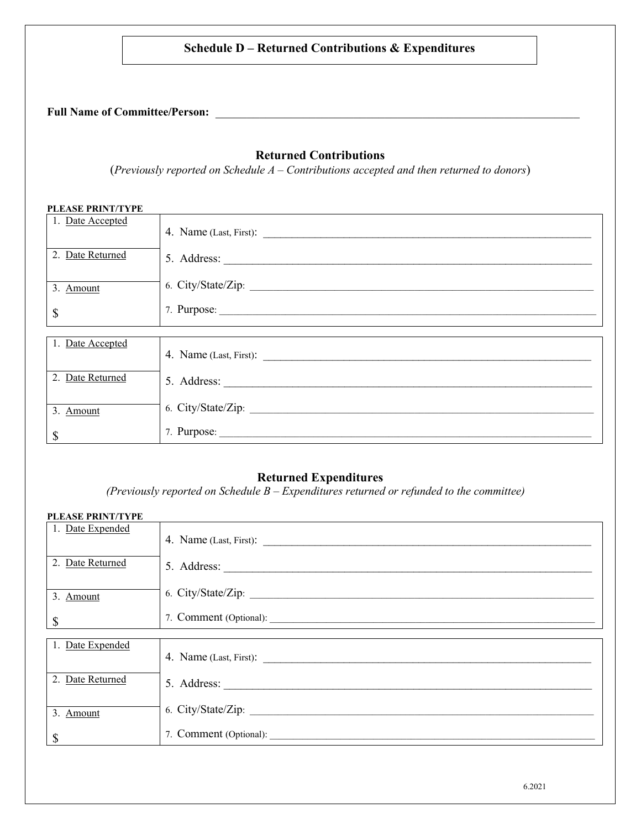#### **Schedule D – Returned Contributions & Expenditures**

# **Full Name of Committee/Person:** \_\_\_\_\_\_\_\_\_\_\_\_\_\_\_\_\_\_\_\_\_\_\_\_\_\_\_\_\_\_\_\_\_\_\_\_\_\_\_\_\_\_\_\_\_\_\_\_\_\_\_\_\_\_\_\_\_\_

#### **Returned Contributions**

(*Previously reported on Schedule A – Contributions accepted and then returned to donors*)

| PLEASE PRINT/TYPE |                    |
|-------------------|--------------------|
| 1. Date Accepted  |                    |
| 2. Date Returned  |                    |
| 3. Amount         | 6. City/State/Zip: |
| \$                |                    |
|                   |                    |
| 1. Date Accepted  |                    |
| 2. Date Returned  |                    |
| 3. Amount         |                    |
| \$                | 7. Purpose:        |

#### **Returned Expenditures**

*(Previously reported on Schedule B – Expenditures returned or refunded to the committee)*

| <b>PLEASE PRINT/TYPE</b> |                        |
|--------------------------|------------------------|
| 1. Date Expended         |                        |
| 2. Date Returned         |                        |
| 3. Amount                | 6. City/State/Zip:     |
| \$                       |                        |
|                          |                        |
| 1. Date Expended         | 4. Name (Last, First): |
| 2. Date Returned         |                        |
| 3. Amount                |                        |
| \$                       |                        |